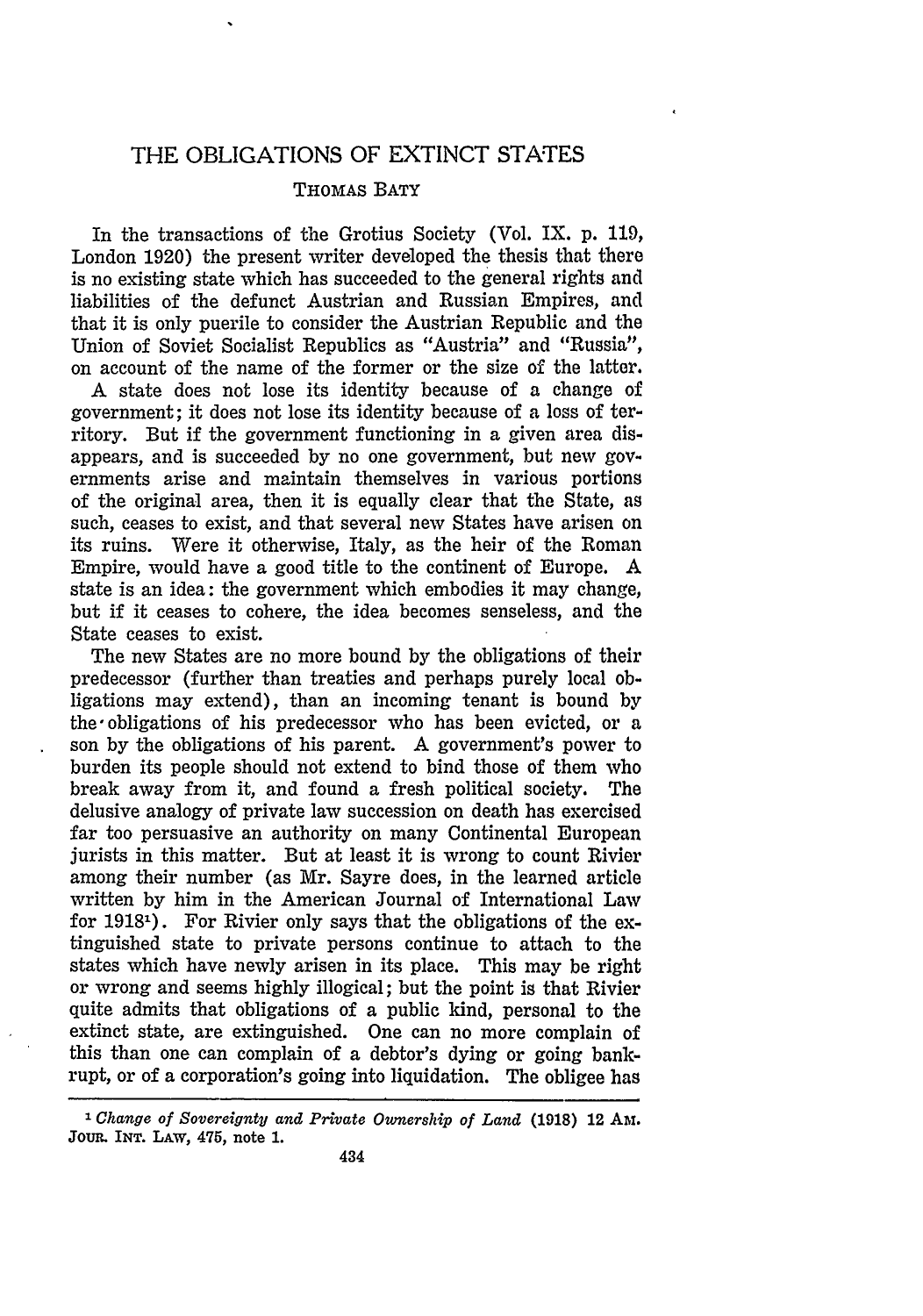## THE OBLIGATIONS OF EXTINCT STATES

## THOMAS BATY

In the transactions of the Grotius Society (Vol. IX. p. 119, London 1920) the present writer developed the thesis that there is no existing state which has succeeded to the general rights and liabilities of the defunct Austrian and Russian Empires, and that it is only puerile to consider the Austrian Republic and the Union of Soviet Socialist Republics as "Austria" and "Russia", on account of the name of the former or the size of the latter.

A state does not lose its identity because of a change of government; it does not lose its identity because of a loss of territory. But if the government functioning in a given area disappears, and is succeeded by no one government, but new governments arise and maintain themselves in various portions of the original area, then it is equally clear that the State, as such, ceases to exist, and that several new States have arisen on its ruins. Were it otherwise, Italy, as the heir of the Roman Empire, would have a good title to the continent of Europe. A state is an idea: the government which embodies it may change, but if it ceases to cohere, the idea becomes senseless, and the State ceases to exist.

The new States are no more bound by the obligations of their predecessor (further than treaties and perhaps purely local obligations may extend), than an incoming tenant is bound by the- obligations of his predecessor who has been evicted, or a son by the obligations of his parent. A government's power to burden its people should not extend to bind those of them who break away from it, and found a fresh political society. The delusive analogy of private law succession on death has exercised far too persuasive an authority on many Continental European jurists in this matter. But at least it is wrong to count Rivier among their number (as Mr. Sayre does, in the learned article written **by** him in the American Journal of International Law for **19181).** For Rivier only says that the obligations of the extinguished state to private persons continue to attach to the states which have newly arisen in its place. This may be right or wrong and seems **highly** illogical; but the point is that Rivier quite admits that obligations of a public kind, personal to the extinct state, are extinguished. One can no more complain of this than one can complain of a debtor's dying or going bankrupt, or of a corporation's going into liquidation. The obligee has

*I Change of Sovereignty and Private Ownership of Land* **(1918) 12 Am. JOUR.** INT. LAW, 475, note **1.**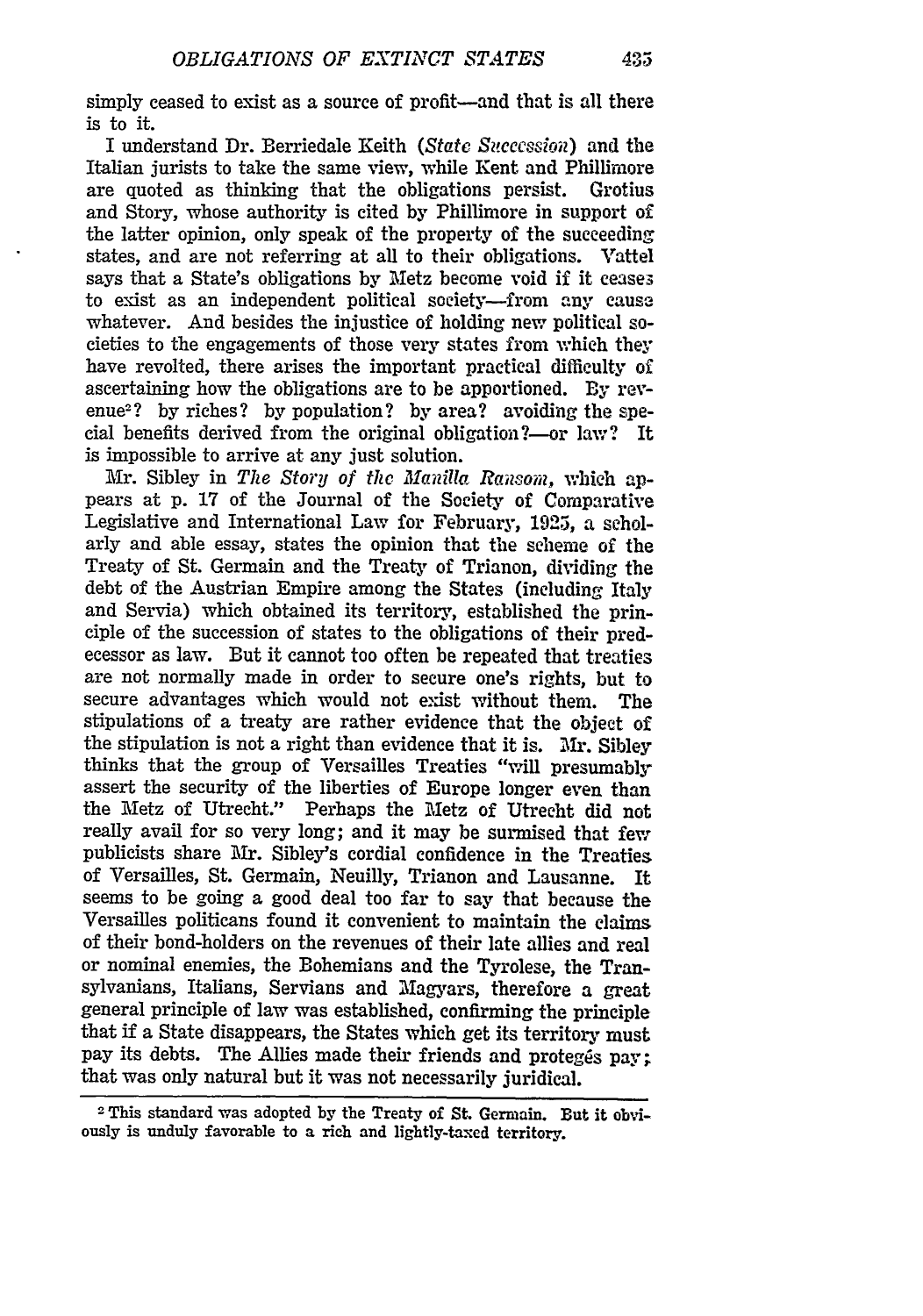simply ceased to exist as a source of profit—and that is all there is to it.

I understand Dr. Berriedale Keith *(State Succcssion)* and the Italian jurists to take the same view, while Kent and Phillimore are quoted as thinking that the obligations persist. Grotius and Story, whose authority is cited by Phillimore in support of the latter opinion, only speak of the property of the succeeding states, and are not referring at all to their obligations. Vattel says that a State's obligations by Metz become void if it ceases to exist as an independent political society-from any cause whatever. And besides the injustice of holding new political societies to the engagements of those very states from which they have revolted, there arises the important practical difficulty of ascertaining how the obligations are to be apportioned. By revenue<sup>2</sup>? by riches? by population? by area? avoiding the special benefits derived from the original obligation?—or law? It is impossible to arrive at any just solution.

Mr. Sibley in *The Story of the Manilla Ransom*, which appears at p. 17 of the Journal of the Society of Comparative Legislative and International Law for February, 1925, a scholarly and able essay, states the opinion that the scheme of the Treaty of St. Germain and the Treaty of Trianon, dividing the debt of the Austrian Empire among the States (including Italy and Servia) which obtained its territory, established the principle of the succession of states to the obligations of their predecessor as law. But it cannot too often be repeated that treaties are not normally made in order to secure one's rights, but to secure advantages which would not exist without them. The stipulations of a treaty are rather evidence that the object of the stipulation is not a right than evidence that it is. Mr. Sibley thinks that the group of Versailles Treaties "will presumably assert the security of the liberties of Europe longer even than the Metz of Utrecht." Perhaps the Metz of Utrecht did not really avail for so very long; and it may be surmised that few publicists share Mr. Sibley's cordial confidence in the Treaties of Versailles, St. Germain, Neuilly, Trianon and Lausanne. It seems to be going a good deal too far to say that because the Versailles politicans found it convenient to maintain the claims of their bond-holders on the revenues of their late allies and real or nominal enemies, the Bohemians and the Tyrolese, the Transylvanians, Italians, Servians and Magyars, therefore a great general principle of law was established, confirming the principle that if a State disappears, the States which get its territory must pay its debts. The Allies made their friends and proteges pay; that was only natural but it was not necessarily juridical.

2 This standard was adopted by the Treaty of St. Germain. **But** it obviously is unduly favorable to a rich and lightly-taxed territory.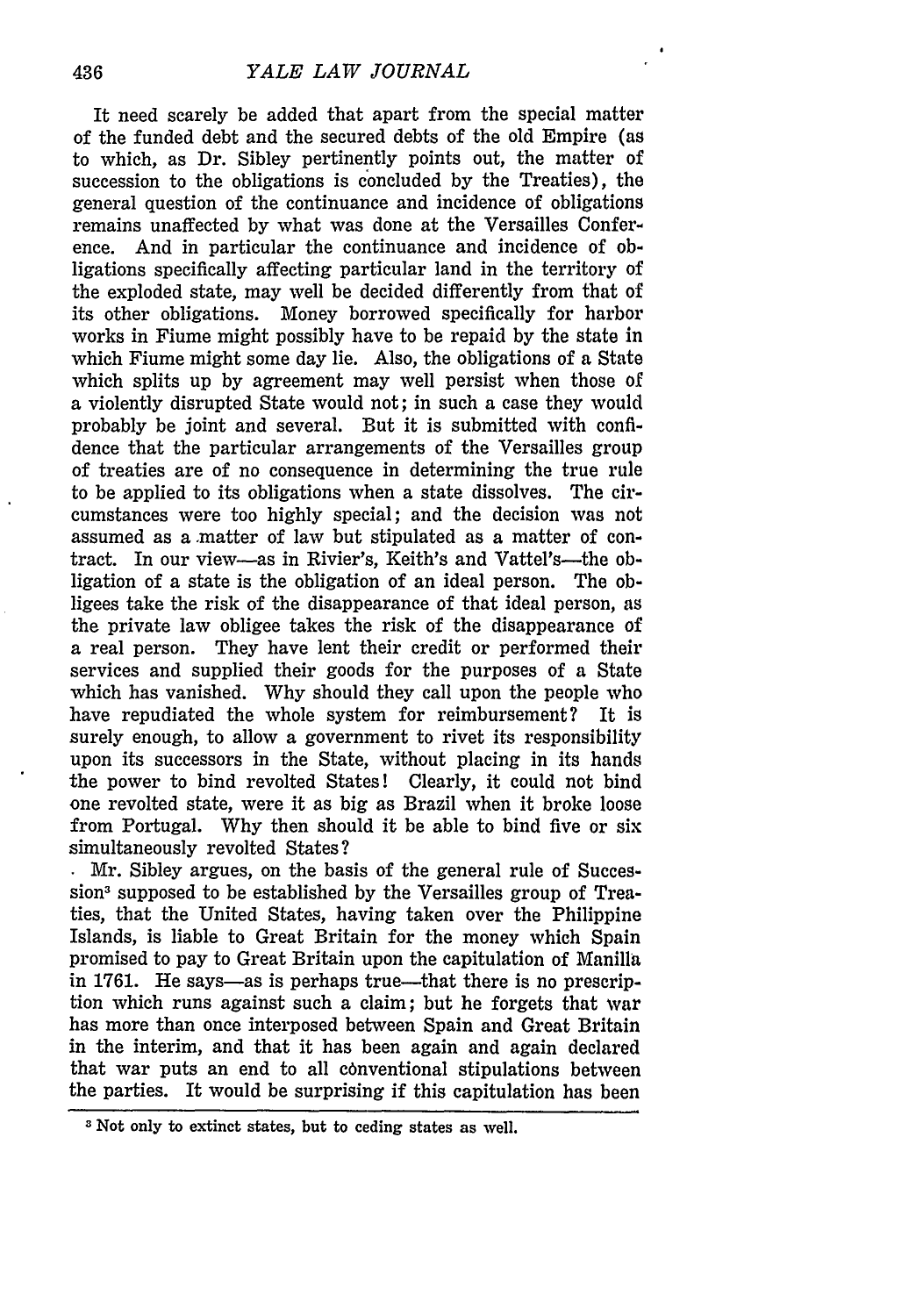It need scarely be added that apart from the special matter of the funded debt and the secured debts of the old Empire (as to which, as Dr. Sibley pertinently points out, the matter of succession to the obligations is concluded by the Treaties), the general question of the continuance and incidence of obligations remains unaffected by what was done at the Versailles Conference. And in particular the continuance and incidence of obligations specifically affecting particular land in the territory of the exploded state, may well be decided differently from that of its other obligations. Money borrowed specifically for harbor works in Fiume might possibly have to be repaid by the state in which Fiume might some day lie. Also, the obligations of a State which splits up by agreement may well persist when those of a violently disrupted State would not; in such a case they would probably be joint and several. But it is submitted with confidence that the particular arrangements of the Versailles group of treaties are of no consequence in determining the true rule to be applied to its obligations when a state dissolves. The circumstances were too highly special; and the decision was not assumed as a matter of law but stipulated as a matter of contract. In our view---as in Rivier's, Keith's and Vattel's---the obligation of a state is the obligation of an ideal person. The obligees take the risk of the disappearance of that ideal person, as the private law obligee takes the risk of the disappearance of a real person. They have lent their credit or performed their services and supplied their goods for the purposes of a State which has vanished. Why should they call upon the people who have repudiated the whole system for reimbursement? It is surely enough, to allow a government to rivet its responsibility upon its successors in the State, without placing in its hands the power to bind revolted States! Clearly, it could not bind one revolted state, were it as big as Brazil when it broke loose from Portugal. Why then should it be able to bind five or six simultaneously revolted States?

**.** Mr. Sibley argues, on the basis of the general rule of Succession<sup>3</sup> supposed to be established by the Versailles group of Treaties, that the United States, having taken over the Philippine Islands, is liable to Great Britain for the money which Spain promised to pay to Great Britain upon the capitulation of Manilla in 1761. He says—as is perhaps true—that there is no prescription which runs against such a claim; but he forgets that war has more than once interposed between Spain and Great Britain in the interim, and that it has been again and again declared that war puts an end to all conventional stipulations between the parties. It would be surprising if this capitulation has been

**<sup>1</sup> Not only to extinct states, but to ceding states** as **well.**